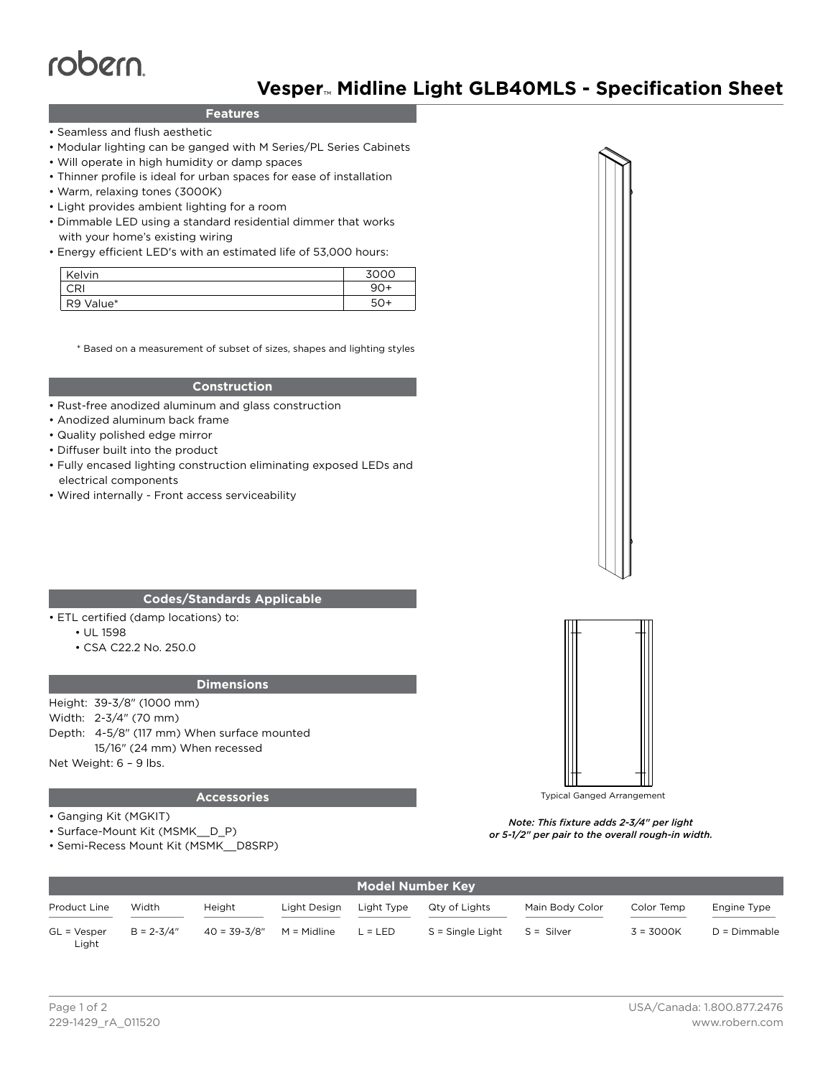# robern

# **Vesper**™ **Midline Light GLB40MLS - Specification Sheet**

## **Features**

- Seamless and flush aesthetic
- Modular lighting can be ganged with M Series/PL Series Cabinets
- Will operate in high humidity or damp spaces
- Thinner profile is ideal for urban spaces for ease of installation
- Warm, relaxing tones (3000K)
- Light provides ambient lighting for a room
- Dimmable LED using a standard residential dimmer that works with your home's existing wiring
- Energy efficient LED's with an estimated life of 53,000 hours:

| Kelvin    | 3000  |
|-----------|-------|
| CRI       | $90+$ |
| R9 Value* | 50+   |

\* Based on a measurement of subset of sizes, shapes and lighting styles

#### **Construction**

- Rust-free anodized aluminum and glass construction
- Anodized aluminum back frame
- Quality polished edge mirror
- Diffuser built into the product
- Fully encased lighting construction eliminating exposed LEDs and electrical components
- Wired internally Front access serviceability

#### **Codes/Standards Applicable**

- ETL certified (damp locations) to:
	- UL 1598
	- CSA C22.2 No. 250.0

#### **Dimensions**

Height: 39-3/8" (1000 mm) Width: 2-3/4" (70 mm) Depth: 4-5/8" (117 mm) When surface mounted

15/16" (24 mm) When recessed

Net Weight: 6 – 9 lbs.

#### **Accessories**

- Ganging Kit (MGKIT)
- Surface-Mount Kit (MSMK\_\_D\_P)
- Semi-Recess Mount Kit (MSMK\_\_D8SRP)



Typical Ganged Arrangement

*Note: This fixture adds 2-3/4" per light or 5-1/2" per pair to the overall rough-in width.*

| <b>Model Number Key</b> |                |                              |              |            |                  |                 |             |                |  |  |
|-------------------------|----------------|------------------------------|--------------|------------|------------------|-----------------|-------------|----------------|--|--|
| Product Line            | Width          | Height                       | Light Design | Light Type | Qty of Lights    | Main Body Color | Color Temp  | Engine Type    |  |  |
| $GL = Vesper$<br>Light  | $B = 2 - 3/4"$ | $40 = 39 - 3/8"$ M = Midline |              | $L = LED$  | S = Single Light | S = Silver      | $3 = 3000K$ | $D = Dimmable$ |  |  |